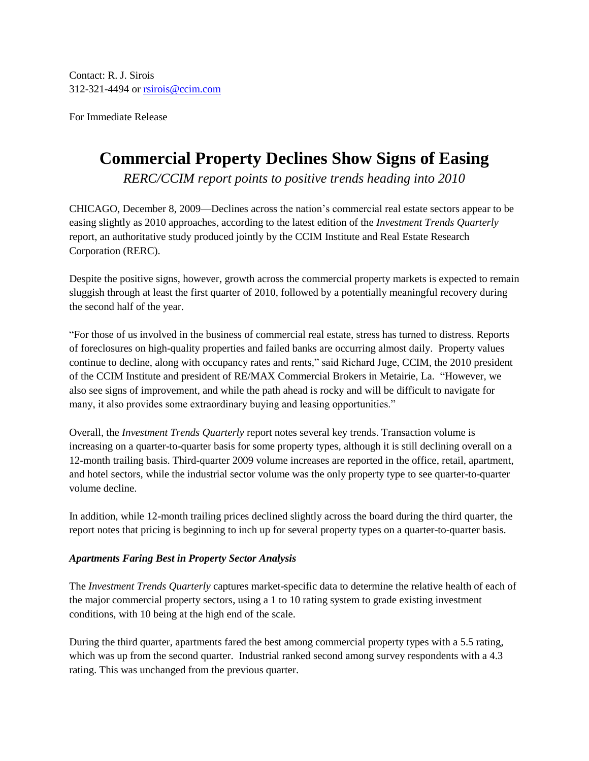Contact: R. J. Sirois 312-321-4494 or [rsirois@ccim.com](mailto:rsirois@ccim.com)

For Immediate Release

# **Commercial Property Declines Show Signs of Easing**

*RERC/CCIM report points to positive trends heading into 2010*

CHICAGO, December 8, 2009—Declines across the nation's commercial real estate sectors appear to be easing slightly as 2010 approaches, according to the latest edition of the *Investment Trends Quarterly* report, an authoritative study produced jointly by the CCIM Institute and Real Estate Research Corporation (RERC).

Despite the positive signs, however, growth across the commercial property markets is expected to remain sluggish through at least the first quarter of 2010, followed by a potentially meaningful recovery during the second half of the year.

"For those of us involved in the business of commercial real estate, stress has turned to distress. Reports of foreclosures on high-quality properties and failed banks are occurring almost daily. Property values continue to decline, along with occupancy rates and rents," said Richard Juge, CCIM, the 2010 president of the CCIM Institute and president of RE/MAX Commercial Brokers in Metairie, La. "However, we also see signs of improvement, and while the path ahead is rocky and will be difficult to navigate for many, it also provides some extraordinary buying and leasing opportunities."

Overall, the *Investment Trends Quarterly* report notes several key trends. Transaction volume is increasing on a quarter-to-quarter basis for some property types, although it is still declining overall on a 12-month trailing basis. Third-quarter 2009 volume increases are reported in the office, retail, apartment, and hotel sectors, while the industrial sector volume was the only property type to see quarter-to-quarter volume decline.

In addition, while 12-month trailing prices declined slightly across the board during the third quarter, the report notes that pricing is beginning to inch up for several property types on a quarter-to-quarter basis.

## *Apartments Faring Best in Property Sector Analysis*

The *Investment Trends Quarterly* captures market-specific data to determine the relative health of each of the major commercial property sectors, using a 1 to 10 rating system to grade existing investment conditions, with 10 being at the high end of the scale.

During the third quarter, apartments fared the best among commercial property types with a 5.5 rating, which was up from the second quarter. Industrial ranked second among survey respondents with a 4.3 rating. This was unchanged from the previous quarter.